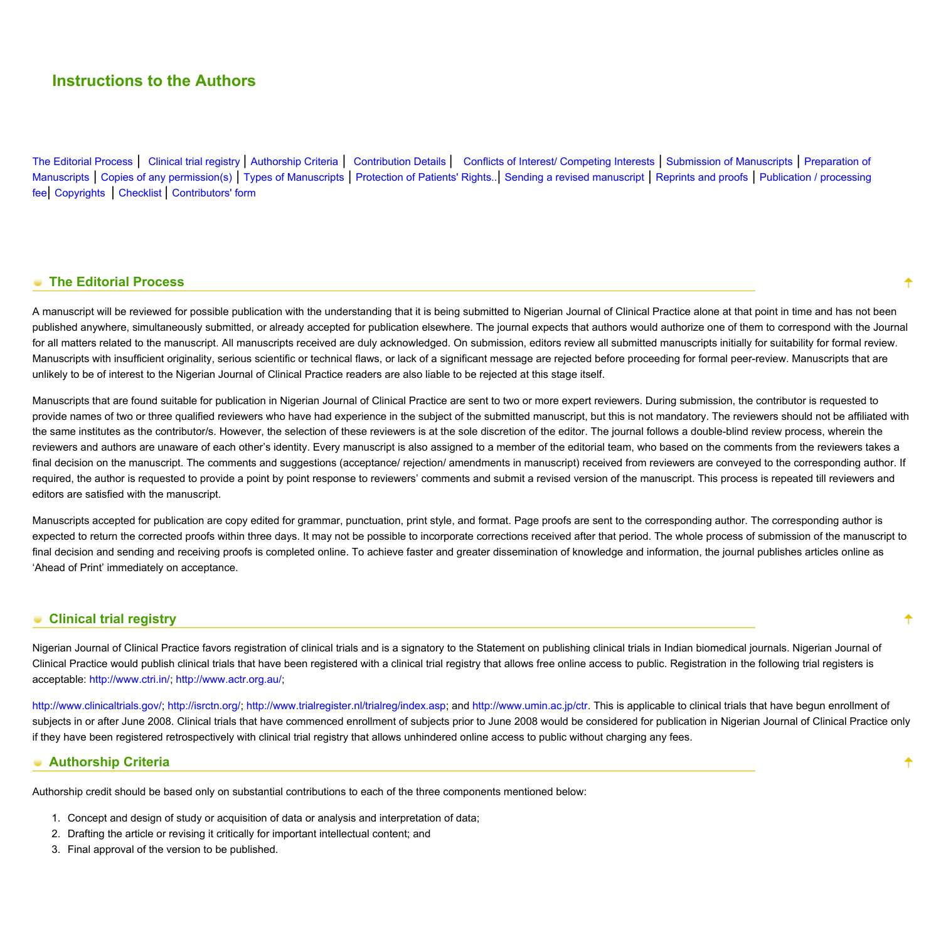# **Instructions to the Authors**

[The](#page-0-0) [Editorial](#page-0-0) [Process](#page-0-0) | [Clinical](#page-0-1) [trial](#page-0-1) [registry](#page-0-1) [|](#page-0-1) [Authorship](#page-0-2) [Criteria](#page-0-2) | [Contribution](#page-1-0) [Details](#page-1-0) | [Conflicts](#page-1-1) [of](#page-2-0) [Interest/](#page-1-1) [Competing](#page-1-1) [Interests](#page-1-1) | [Submission](#page-1-2) of [Manuscripts](#page-1-2) | [Preparation](#page-2-0) of [Manuscripts](#page-2-2) | [Copies](#page-2-1) [of](#page-6-0) [any](#page-2-1) [permission\(s\)](#page-2-1) | [Types](#page-2-2) of Manuscripts | [Protection](#page-6-0) of [Patients'](#page-6-0) [Rights..](#page-6-0) | [Sending](#page-6-1) [a](#page-6-1) [revised](#page-6-1) [manuscript](#page-6-1) | [Reprints](#page-6-2) [and](#page-6-2) [proofs](#page-6-2) | [Publication](#page-6-3) [/](#page-6-3) [processing](#page-6-3) **[fee](#page-6-3)| [Copyrights](#page-7-0) | [Checklist](#page-7-1) | [Contributors'](#page-8-0) [form](#page-8-0)**

## <span id="page-0-0"></span> **The Editorial Process**

A manuscript will be reviewed for possible publication with the understanding that it is being submitted to Nigerian Journal of Clinical Practice alone at that point in time and has not been published anywhere, simultaneously submitted, or already accepted for publication elsewhere. The journal expects that authors would authorize one of them to correspond with the Journal for all matters related to the manuscript. All manuscripts received are duly acknowledged. On submission, editors review all submitted manuscripts initially for suitability for formal review. Manuscripts with insufficient originality, serious scientific or technical flaws, or lack of a significant message are rejected before proceeding for formal peer-review. Manuscripts that are unlikely to be of interest to the Nigerian Journal of Clinical Practice readers are also liable to be rejected at this stage itself.

٠

Manuscripts that are found suitable for publication in Nigerian Journal of Clinical Practice are sent to two or more expert reviewers. During submission, the contributor is requested to provide names of two or three qualified reviewers who have had experience in the subject of the submitted manuscript, but this is not mandatory. The reviewers should not be affiliated with the same institutes as the contributor/s. However, the selection of these reviewers is at the sole discretion of the editor. The journal follows a double-blind review process, wherein the reviewers and authors are unaware of each other's identity. Every manuscript is also assigned to a member of the editorial team, who based on the comments from the reviewers takes a final decision on the manuscript. The comments and suggestions (acceptance/ rejection/ amendments in manuscript) received from reviewers are conveyed to the corresponding author. If required, the author is requested to provide a point by point response to reviewers' comments and submit a revised version of the manuscript. This process is repeated till reviewers and **editors are satisfied with the manuscript.**

Manuscripts accepted for publication are copy edited for grammar, punctuation, print style, and format. Page proofs are sent to the corresponding author. The corresponding author is expected to return the corrected proofs within three days. It may not be possible to incorporate corrections received after that period. The whole process of submission of the manuscript to final decision and sending and receiving proofs is completed online. To achieve faster and greater dissemination of knowledge and information, the journal publishes articles online as **'Ahead of Print' immediately on acceptance.**

## <span id="page-0-1"></span> **Clinical trial registry**

Nigerian Journal of Clinical Practice favors registration of clinical trials and is a signatory to the Statement on publishing clinical trials in Indian biomedical journals. Nigerian Journal of Clinical Practice would publish clinical trials that have been registered with a clinical trial registry that allows free online access to public. Registration in the following trial registers is **acceptable: [http://www.ctri.in/;](http://www.ctri.in/) [http://www.actr.org.au/;](http://www.actr.org.au/)**

[http://www.clinicaltrials.gov/;](https://www.clinicaltrials.gov/) [http://isrctn.org/;](http://isrctn.org/) <http://www.trialregister.nl/trialreg/index.asp>; and [http://www.umin.ac.jp/ctr.](http://www.umin.ac.jp/ctr) This is applicable to clinical trials that have begun enrollment of subjects in or after June 2008. Clinical trials that have commenced enrollment of subjects prior to June 2008 would be considered for publication in Nigerian Journal of Clinical Practice only if they have been registered retrospectively with clinical trial registry that allows unhindered online access to public without charging any fees.

## <span id="page-0-2"></span> **Authorship Criteria**

Authorship credit should be based only on substantial contributions to each of the three components mentioned below:

- **1. Concept and design of study or acquisition of data or analysis and interpretation of data;**
- **2. Drafting the article or revising it critically for important intellectual content; and**
- **3. Final approval of the version to be published.**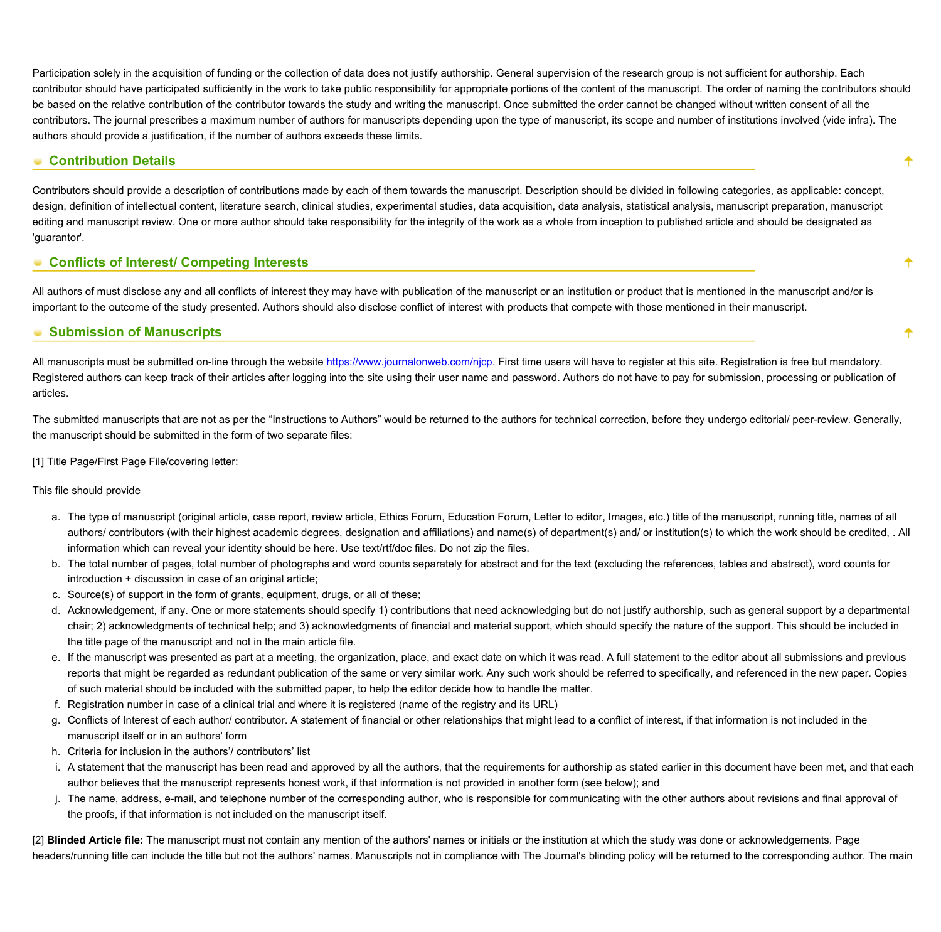Participation solely in the acquisition of funding or the collection of data does not justify authorship. General supervision of the research group is not sufficient for authorship. Each contributor should have participated sufficiently in the work to take public responsibility for appropriate portions of the content of the manuscript. The order of naming the contributors should be based on the relative contribution of the contributor towards the study and writing the manuscript. Once submitted the order cannot be changed without written consent of all the contributors. The journal prescribes a maximum number of authors for manuscripts depending upon the type of manuscript, its scope and number of institutions involved (vide infra). The **authors should provide a justification, if the number of authors exceeds these limits.**

↑

↟

## <span id="page-1-0"></span> **Contribution Details**

Contributors should provide a description of contributions made by each of them towards the manuscript. Description should be divided in following categories, as applicable: concept, design, definition of intellectual content, literature search, clinical studies, experimental studies, data acquisition, data analysis, statistical analysis, manuscript preparation, manuscript editing and manuscript review. One or more author should take responsibility for the integrity of the work as a whole from inception to published article and should be designated as **'guarantor'.**

## <span id="page-1-1"></span> **Conflicts of Interest/ Competing Interests**

All authors of must disclose any and all conflicts of interest they may have with publication of the manuscript or an institution or product that is mentioned in the manuscript and/or is important to the outcome of the study presented. Authors should also disclose conflict of interest with products that compete with those mentioned in their manuscript.

## <span id="page-1-2"></span> **Submission of Manuscripts**

All manuscripts must be submitted on-line through the website [https://www.journalonweb.com/njcp.](https://www.journalonweb.com/njcp) First time users will have to register at this site. Registration is free but mandatory. Registered authors can keep track of their articles after logging into the site using their user name and password. Authors do not have to pay for submission, processing or publication of **articles.**

The submitted manuscripts that are not as per the "Instructions to Authors" would be returned to the authors for technical correction, before they undergo editorial/ peer-review. Generally, **the manuscript should be submitted in the form of two separate files:**

**[1] Title Page/First Page File/covering letter:**

**This file should provide**

- a. The type of manuscript (original article, case report, review article, Ethics Forum, Education Forum, Letter to editor, Images, etc.) title of the manuscript, running title, names of all authors/ contributors (with their highest academic degrees, designation and affiliations) and name(s) of department(s) and/ or institution(s) to which the work should be credited, . All **information which can reveal your identity should be here. Use text/rtf/doc files. Do not zip the files.**
- b. The total number of pages, total number of photographs and word counts separately for abstract and for the text (excluding the references, tables and abstract), word counts for **introduction + discussion in case of an original article;**
- **c. Source(s) of support in the form of grants, equipment, drugs, or all of these;**
- d. Acknowledgement, if any. One or more statements should specify 1) contributions that need acknowledging but do not justify authorship, such as general support by a departmental chair; 2) acknowledgments of technical help; and 3) acknowledgments of financial and material support, which should specify the nature of the support. This should be included in **the title page of the manuscript and not in the main article file.**
- e. If the manuscript was presented as part at a meeting, the organization, place, and exact date on which it was read. A full statement to the editor about all submissions and previous reports that might be regarded as redundant publication of the same or very similar work. Any such work should be referred to specifically, and referenced in the new paper. Copies of such material should be included with the submitted paper, to help the editor decide how to handle the matter.
- f. Registration number in case of a clinical trial and where it is registered (name of the registry and its URL)
- g. Conflicts of Interest of each author/contributor. A statement of financial or other relationships that might lead to a conflict of interest, if that information is not included in the **manuscript itself or in an authors' form**
- **h. Criteria for inclusion in the authors'/ contributors' list**
- i. A statement that the manuscript has been read and approved by all the authors, that the requirements for authorship as stated earlier in this document have been met, and that each author believes that the manuscript represents honest work, if that information is not provided in another form (see below); and
- j. The name, address, e-mail, and telephone number of the corresponding author, who is responsible for communicating with the other authors about revisions and final approval of **the proofs, if that information is not included on the manuscript itself.**

[2] Blinded Article file: The manuscript must not contain any mention of the authors' names or initials or the institution at which the study was done or acknowledgements. Page headers/running title can include the title but not the authors' names. Manuscripts not in compliance with The Journal's blinding policy will be returned to the corresponding author. The main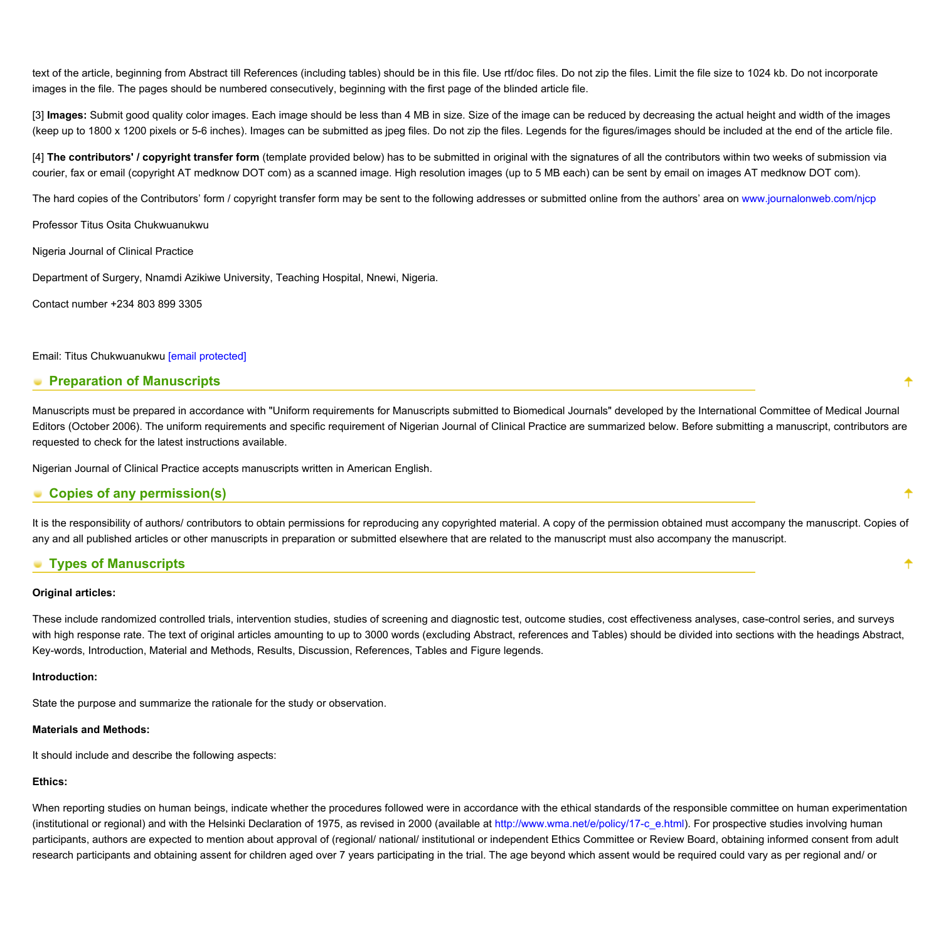text of the article, beginning from Abstract till References (including tables) should be in this file. Use rtf/doc files. Do not zip the files. Limit the file size to 1024 kb. Do not incorporate images in the file. The pages should be numbered consecutively, beginning with the first page of the blinded article file.

[3] Images: Submit good quality color images. Each image should be less than 4 MB in size. Size of the image can be reduced by decreasing the actual height and width of the images (keep up to 1800 x 1200 pixels or 5-6 inches). Images can be submitted as jpeg files. Do not zip the files. Legends for the figures/images should be included at the end of the article file.

[4] The contributors' / copyright transfer form (template provided below) has to be submitted in original with the signatures of all the contributors within two weeks of submission via courier, fax or email (copyright AT medknow DOT com) as a scanned image. High resolution images (up to 5 MB each) can be sent by email on images AT medknow DOT com).

The hard copies of the Contributors' form / copyright transfer form may be sent to the following addresses or submitted online from the authors' area on [www.journalonweb.com/njcp](https://www.journalonweb.com/njcp)

**Professor Titus Osita Chukwuanukwu**

**Nigeria Journal of Clinical Practice**

**Department of Surgery, Nnamdi Azikiwe University, Teaching Hospital, Nnewi, Nigeria.**

**Contact number +234 803 899 3305**

#### **Email: Titus Chukwuanukwu [\[email protected\]](http://www.njcponline.com/cdn-cgi/l/email-protection#781c0a0c1b100d13381f15191114561b1715)**

## <span id="page-2-0"></span> **Preparation of Manuscripts**

Manuscripts must be prepared in accordance with "Uniform requirements for Manuscripts submitted to Biomedical Journals" developed by the International Committee of Medical Journal Editors (October 2006). The uniform requirements and specific requirement of Nigerian Journal of Clinical Practice are summarized below. Before submitting a manuscript, contributors are **requested to check for the latest instructions available.**

**Nigerian Journal of Clinical Practice accepts manuscripts written in American English.**

## <span id="page-2-1"></span> **Copies of any permission(s)**

It is the responsibility of authors/ contributors to obtain permissions for reproducing any copyrighted material. A copy of the permission obtained must accompany the manuscript. Copies of any and all published articles or other manuscripts in preparation or submitted elsewhere that are related to the manuscript must also accompany the manuscript.

## <span id="page-2-2"></span> **Types of Manuscripts**

#### **Original articles:**

These include randomized controlled trials, intervention studies, studies of screening and diagnostic test, outcome studies, cost effectiveness analyses, case-control series, and surveys with high response rate. The text of original articles amounting to up to 3000 words (excluding Abstract, references and Tables) should be divided into sections with the headings Abstract, **Key-words, Introduction, Material and Methods, Results, Discussion, References, Tables and Figure legends.**

#### **Introduction:**

**State the purpose and summarize the rationale for the study or observation.**

#### **Materials and Methods:**

**It should include and describe the following aspects:**

#### **Ethics:**

When reporting studies on human beings, indicate whether the procedures followed were in accordance with the ethical standards of the responsible committee on human experimentation (institutional or regional) and with the Helsinki Declaration of 1975, as revised in 2000 (available at http://www.wma.net/e/policy/17-c e.html). For prospective studies involving human participants, authors are expected to mention about approval of (regional/ national/ institutional or independent Ethics Committee or Review Board, obtaining informed consent from adult research participants and obtaining assent for children aged over 7 years participating in the trial. The age beyond which assent would be required could vary as per regional and/ or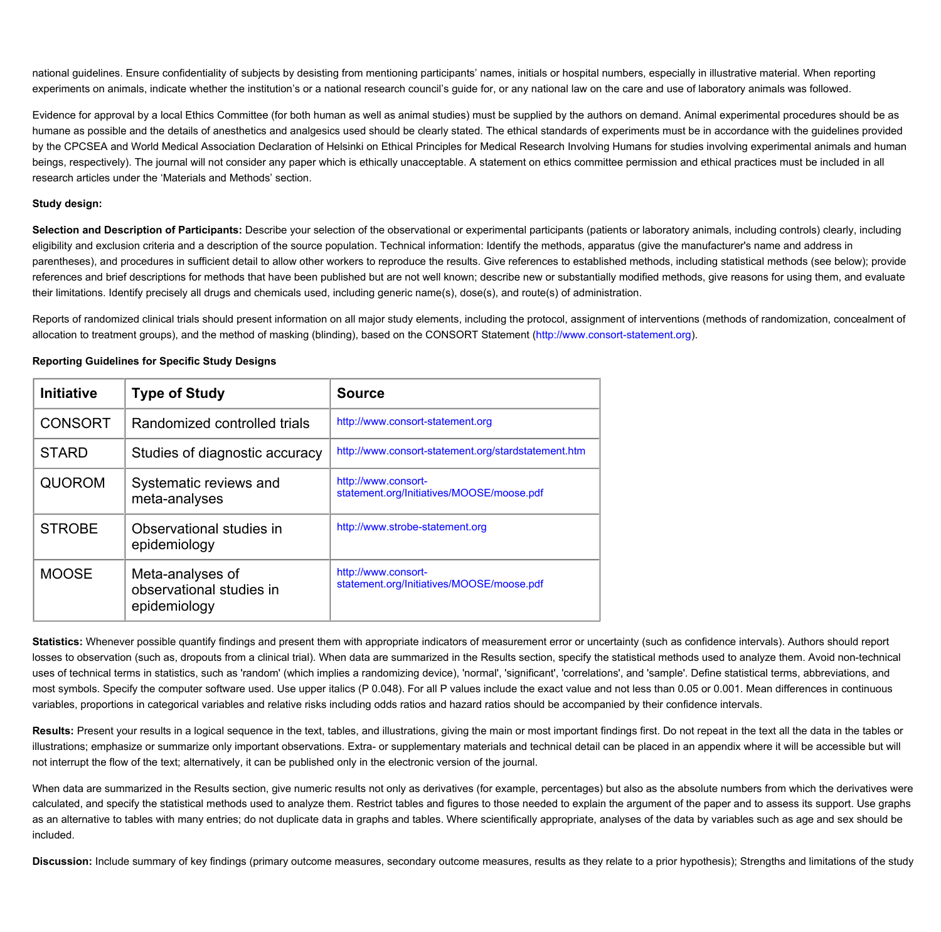national guidelines. Ensure confidentiality of subjects by desisting from mentioning participants' names, initials or hospital numbers, especially in illustrative material. When reporting experiments on animals, indicate whether the institution's or a national research council's guide for, or any national law on the care and use of laboratory animals was followed.

Evidence for approval by a local Ethics Committee (for both human as well as animal studies) must be supplied by the authors on demand. Animal experimental procedures should be as humane as possible and the details of anesthetics and analgesics used should be clearly stated. The ethical standards of experiments must be in accordance with the quidelines provided by the CPCSEA and World Medical Association Declaration of Helsinki on Ethical Principles for Medical Research Involving Humans for studies involving experimental animals and human beings, respectively). The journal will not consider any paper which is ethically unacceptable. A statement on ethics committee permission and ethical practices must be included in all **research articles under the 'Materials and Methods' section.**

### **Study design:**

Selection and Description of Participants: Describe your selection of the observational or experimental participants (patients or laboratory animals, including controls) clearly, including eligibility and exclusion criteria and a description of the source population. Technical information: Identify the methods, apparatus (give the manufacturer's name and address in parentheses), and procedures in sufficient detail to allow other workers to reproduce the results. Give references to established methods, including statistical methods (see below); provide references and brief descriptions for methods that have been published but are not well known; describe new or substantially modified methods, give reasons for using them, and evaluate their limitations. Identify precisely all drugs and chemicals used, including generic name(s), dose(s), and route(s) of administration.

Reports of randomized clinical trials should present information on all major study elements, including the protocol, assignment of interventions (methods of randomization, concealment of allocation to treatment groups), and the method of masking (blinding), based on the CONSORT Statement ([http://www.consort-statement.org\)](http://www.consort-statement.org).

### **Reporting Guidelines for Specific Study Designs**

| <b>Initiative</b> | <b>Type of Study</b>                                         | <b>Source</b>                                                    |
|-------------------|--------------------------------------------------------------|------------------------------------------------------------------|
| <b>CONSORT</b>    | Randomized controlled trials                                 | http://www.consort-statement.org                                 |
| <b>STARD</b>      | Studies of diagnostic accuracy                               | http://www.consort-statement.org/stardstatement.htm              |
| <b>QUOROM</b>     | Systematic reviews and<br>meta-analyses                      | http://www.consort-<br>statement.org/Initiatives/MOOSE/moose.pdf |
| <b>STROBE</b>     | Observational studies in<br>epidemiology                     | http://www.strobe-statement.org                                  |
| <b>MOOSE</b>      | Meta-analyses of<br>observational studies in<br>epidemiology | http://www.consort-<br>statement.org/Initiatives/MOOSE/moose.pdf |

Statistics: Whenever possible quantify findings and present them with appropriate indicators of measurement error or uncertainty (such as confidence intervals). Authors should report losses to observation (such as, dropouts from a clinical trial). When data are summarized in the Results section, specify the statistical methods used to analyze them. Avoid non-technical uses of technical terms in statistics, such as 'random' (which implies a randomizing device), 'normal', 'significant', 'correlations', and 'sample'. Define statistical terms, abbreviations, and most symbols. Specify the computer software used. Use upper italics (P 0.048). For all P values include the exact value and not less than 0.05 or 0.001. Mean differences in continuous variables, proportions in categorical variables and relative risks including odds ratios and hazard ratios should be accompanied by their confidence intervals.

Results: Present your results in a logical sequence in the text, tables, and illustrations, giving the main or most important findings first. Do not repeat in the text all the data in the tables or illustrations; emphasize or summarize only important observations. Extra- or supplementary materials and technical detail can be placed in an appendix where it will be accessible but will not interrupt the flow of the text; alternatively, it can be published only in the electronic version of the journal.

When data are summarized in the Results section, give numeric results not only as derivatives (for example, percentages) but also as the absolute numbers from which the derivatives were calculated, and specify the statistical methods used to analyze them. Restrict tables and figures to those needed to explain the argument of the paper and to assess its support. Use graphs as an alternative to tables with many entries; do not duplicate data in graphs and tables. Where scientifically appropriate, analyses of the data by variables such as age and sex should be **included.**

Discussion: Include summary of key findings (primary outcome measures, secondary outcome measures, results as they relate to a prior hypothesis); Strengths and limitations of the study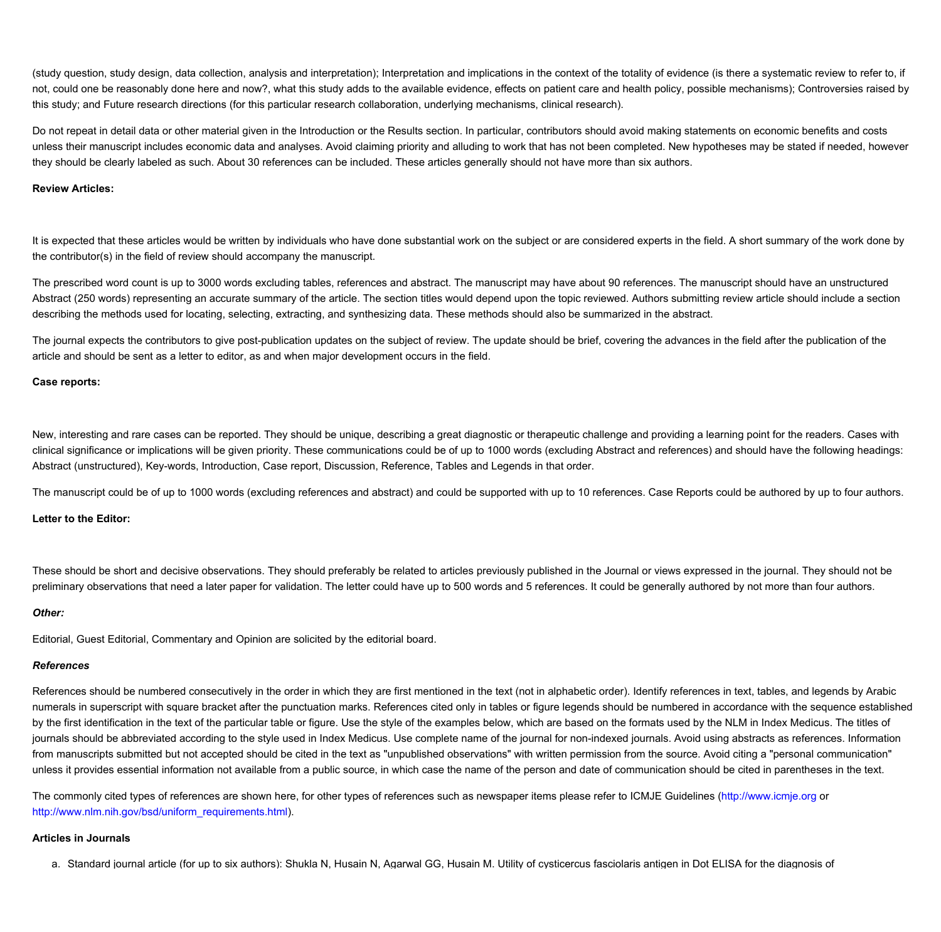(study question, study design, data collection, analysis and interpretation); Interpretation and implications in the context of the totality of evidence (is there a systematic review to refer to, if not, could one be reasonably done here and now?, what this study adds to the available evidence, effects on patient care and health policy, possible mechanisms); Controversies raised by this study; and Future research directions (for this particular research collaboration, underlying mechanisms, clinical research).

Do not repeat in detail data or other material given in the Introduction or the Results section. In particular, contributors should avoid making statements on economic benefits and costs unless their manuscript includes economic data and analyses. Avoid claiming priority and alluding to work that has not been completed. New hypotheses may be stated if needed, however they should be clearly labeled as such. About 30 references can be included. These articles generally should not have more than six authors.

### **Review Articles:**

It is expected that these articles would be written by individuals who have done substantial work on the subject or are considered experts in the field. A short summary of the work done by **the contributor(s) in the field of review should accompany the manuscript.**

The prescribed word count is up to 3000 words excluding tables, references and abstract. The manuscript may have about 90 references. The manuscript should have an unstructured Abstract (250 words) representing an accurate summary of the article. The section titles would depend upon the topic reviewed. Authors submitting review article should include a section describing the methods used for locating, selecting, extracting, and synthesizing data. These methods should also be summarized in the abstract.

The journal expects the contributors to give post-publication updates on the subject of review. The update should be brief, covering the advances in the field after the publication of the article and should be sent as a letter to editor, as and when major development occurs in the field.

#### **Case reports:**

New, interesting and rare cases can be reported. They should be unique, describing a great diagnostic or therapeutic challenge and providing a learning point for the readers. Cases with clinical significance or implications will be given priority. These communications could be of up to 1000 words (excluding Abstract and references) and should have the following headings: **Abstract (unstructured), Key-words, Introduction, Case report, Discussion, Reference, Tables and Legends in that order.**

The manuscript could be of up to 1000 words (excluding references and abstract) and could be supported with up to 10 references. Case Reports could be authored by up to four authors.

#### **Letter to the Editor:**

These should be short and decisive observations. They should preferably be related to articles previously published in the Journal or views expressed in the journal. They should not be preliminary observations that need a later paper for validation. The letter could have up to 500 words and 5 references. It could be generally authored by not more than four authors.

#### *Other:*

**Editorial, Guest Editorial, Commentary and Opinion are solicited by the editorial board.**

#### *References*

References should be numbered consecutively in the order in which they are first mentioned in the text (not in alphabetic order). Identify references in text, tables, and legends by Arabic numerals in superscript with square bracket after the punctuation marks. References cited only in tables or figure legends should be numbered in accordance with the sequence established by the first identification in the text of the particular table or figure. Use the style of the examples below, which are based on the formats used by the NLM in Index Medicus. The titles of journals should be abbreviated according to the style used in Index Medicus. Use complete name of the journal for non-indexed journals. Avoid using abstracts as references. Information from manuscripts submitted but not accepted should be cited in the text as "unpublished observations" with written permission from the source. Avoid citing a "personal communication" unless it provides essential information not available from a public source, in which case the name of the person and date of communication should be cited in parentheses in the text.

The commonly cited types of references are shown here, for other types of references such as newspaper items please refer to ICMJE Guidelines [\(http://www.icmje.org](http://www.icmje.org) or **[http://www.nlm.nih.gov/bsd/uniform\\_requirements.html\)](https://www.nlm.nih.gov/bsd/uniform_requirements.html).**

#### **Articles in Journals**

a. Standard journal article (for up to six authors): Shukla N. Husain N. Agarwal GG. Husain M. Utility of cysticercus fasciolaris antigen in Dot ELISA for the diagnosis of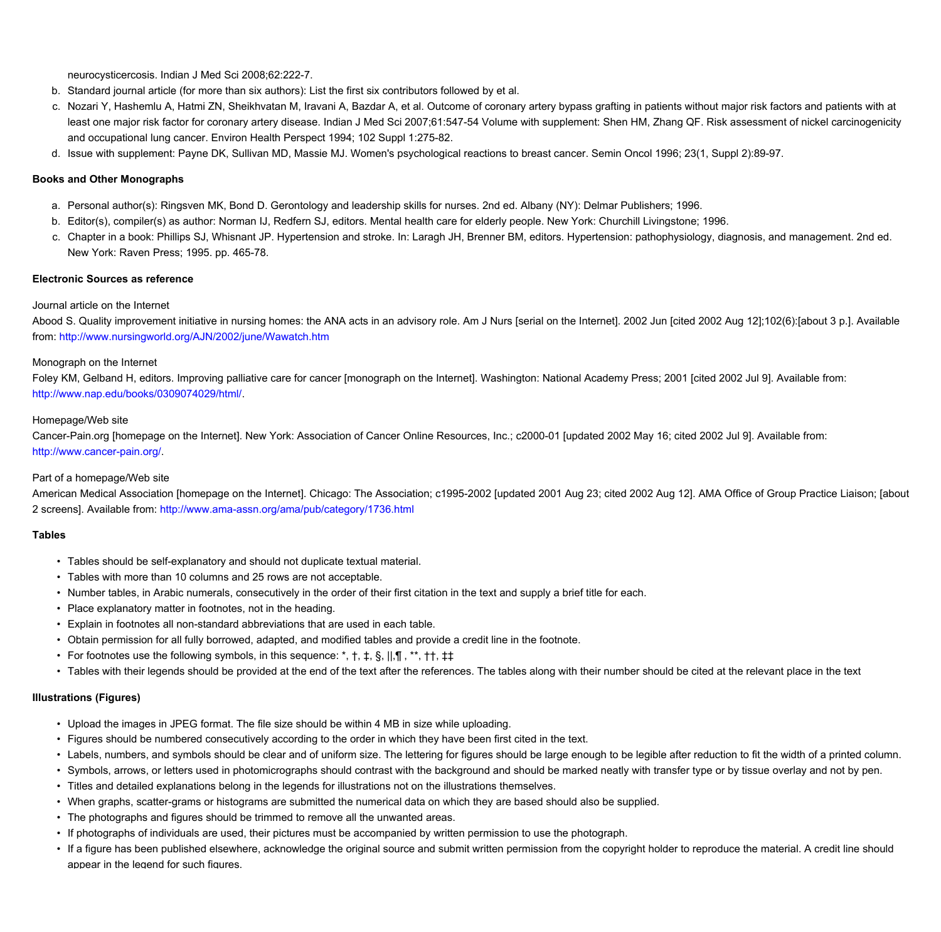**neurocysticercosis. Indian J Med Sci 2008;62:222-7.**

- b. Standard journal article (for more than six authors): List the first six contributors followed by et al.
- c. Nozari Y, Hashemlu A, Hatmi ZN, Sheikhvatan M, Iravani A, Bazdar A, et al. Outcome of coronary artery bypass grafting in patients without major risk factors and patients with at least one major risk factor for coronary artery disease. Indian J Med Sci 2007;61:547-54 Volume with supplement: Shen HM, Zhang QF. Risk assessment of nickel carcinogenicity **and occupational lung cancer. Environ Health Perspect 1994; 102 Suppl 1:275-82.**
- d. Issue with supplement: Payne DK, Sullivan MD, Massie MJ. Women's psychological reactions to breast cancer. Semin Oncol 1996; 23(1, Suppl 2):89-97.

### **Books and Other Monographs**

- a. Personal author(s): Ringsven MK, Bond D. Gerontology and leadership skills for nurses. 2nd ed. Albany (NY): Delmar Publishers; 1996.
- b. Editor(s), compiler(s) as author: Norman IJ, Redfern SJ, editors. Mental health care for elderly people. New York: Churchill Livingstone; 1996.
- c. Chapter in a book: Phillips SJ, Whisnant JP. Hypertension and stroke. In: Laragh JH, Brenner BM, editors. Hypertension: pathophysiology, diagnosis, and management. 2nd ed. **New York: Raven Press; 1995. pp. 465-78.**

### **Electronic Sources as reference**

### **Journal article on the Internet**

Abood S. Quality improvement initiative in nursing homes: the ANA acts in an advisory role. Am J Nurs [serial on the Internet]. 2002 Jun [cited 2002 Aug 12];102(6):[about 3 p.]. Available **from: <http://www.nursingworld.org/AJN/2002/june/Wawatch.htm>**

### **Monograph on the Internet**

Foley KM, Gelband H, editors. Improving palliative care for cancer [monograph on the Internet]. Washington: National Academy Press; 2001 [cited 2002 Jul 9]. Available from: **[http://www.nap.edu/books/0309074029/html/.](http://www.nap.edu/books/0309074029/html/)**

### **Homepage/Web site**

Cancer-Pain.org [homepage on the Internet]. New York: Association of Cancer Online Resources, Inc.; c2000-01 [updated 2002 May 16; cited 2002 Jul 9]. Available from: **<http://www.cancer-pain.org/>.**

### **Part of a homepage/Web site**

American Medical Association [homepage on the Internet]. Chicago: The Association; c1995-2002 [updated 2001 Aug 23; cited 2002 Aug 12]. AMA Office of Group Practice Liaison; [about **2 screens]. Available from: <http://www.ama-assn.org/ama/pub/category/1736.html>**

### **Tables**

- **• Tables should be self-explanatory and should not duplicate textual material.**
- **• Tables with more than 10 columns and 25 rows are not acceptable.**
- Number tables, in Arabic numerals, consecutively in the order of their first citation in the text and supply a brief title for each.
- **• Place explanatory matter in footnotes, not in the heading.**
- **• Explain in footnotes all non-standard abbreviations that are used in each table.**
- Obtain permission for all fully borrowed, adapted, and modified tables and provide a credit line in the footnote.
- **• For footnotes use the following symbols, in this sequence: \*, †, ‡, §, ||,¶ , \*\*, ††, ‡‡**
- Tables with their legends should be provided at the end of the text after the references. The tables along with their number should be cited at the relevant place in the text

#### **Illustrations (Figures)**

- Upload the images in JPEG format. The file size should be within 4 MB in size while uploading.
- Figures should be numbered consecutively according to the order in which they have been first cited in the text.
- Labels, numbers, and symbols should be clear and of uniform size. The lettering for figures should be large enough to be legible after reduction to fit the width of a printed column.
- . Symbols, arrows, or letters used in photomicrographs should contrast with the background and should be marked neatly with transfer type or by tissue overlay and not by pen.
- **• Titles and detailed explanations belong in the legends for illustrations not on the illustrations themselves.**
- When graphs, scatter-grams or histograms are submitted the numerical data on which they are based should also be supplied.
- **• The photographs and figures should be trimmed to remove all the unwanted areas.**
- If photographs of individuals are used, their pictures must be accompanied by written permission to use the photograph.
- If a figure has been published elsewhere, acknowledge the original source and submit written permission from the copyright holder to reproduce the material. A credit line should **appear in the legend for such figures.**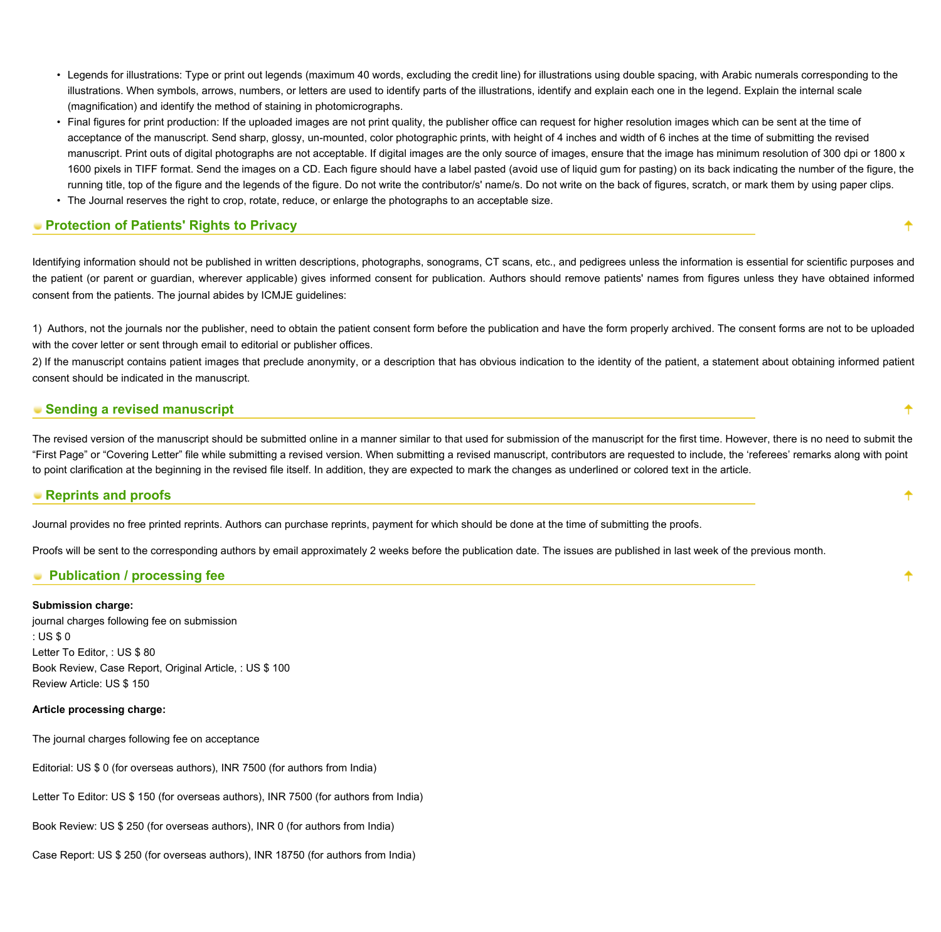- Legends for illustrations: Type or print out legends (maximum 40 words, excluding the credit line) for illustrations using double spacing, with Arabic numerals corresponding to the illustrations. When symbols, arrows, numbers, or letters are used to identify parts of the illustrations, identify and explain each one in the legend. Explain the internal scale **(magnification) and identify the method of staining in photomicrographs.**
- · Final figures for print production: If the uploaded images are not print quality, the publisher office can request for higher resolution images which can be sent at the time of acceptance of the manuscript. Send sharp, glossy, un-mounted, color photographic prints, with height of 4 inches and width of 6 inches at the time of submitting the revised manuscript. Print outs of digital photographs are not acceptable. If digital images are the only source of images, ensure that the image has minimum resolution of 300 dpi or 1800 x 1600 pixels in TIFF format. Send the images on a CD. Each figure should have a label pasted (avoid use of liquid gum for pasting) on its back indicating the number of the figure, the running title, top of the figure and the legends of the figure. Do not write the contributor/s' name/s. Do not write on the back of figures, scratch, or mark them by using paper clips.

↑

↟

╇

• The Journal reserves the right to crop, rotate, reduce, or enlarge the photographs to an acceptable size.

### <span id="page-6-0"></span>**Protection of Patients' Rights to Privacy**

Identifying information should not be published in written descriptions, photographs, sonograms, CT scans, etc., and pedigrees unless the information is essential for scientific purposes and the patient (or parent or guardian, wherever applicable) gives informed consent for publication. Authors should remove patients' names from figures unless they have obtained informed **consent from the patients. The journal abides by ICMJE guidelines:**

1) Authors, not the journals nor the publisher, need to obtain the patient consent form before the publication and have the form properly archived. The consent forms are not to be uploaded **with the cover letter or sent through email to editorial or publisher offices.**

2) If the manuscript contains patient images that preclude anonymity, or a description that has obvious indication to the identity of the patient, a statement about obtaining informed patient **consent should be indicated in the manuscript.**

## <span id="page-6-1"></span>**Sending a revised manuscript**

The revised version of the manuscript should be submitted online in a manner similar to that used for submission of the manuscript for the first time. However, there is no need to submit the "First Page" or "Covering Letter" file while submitting a revised version. When submitting a revised manuscript, contributors are requested to include, the 'referees' remarks along with point to point clarification at the beginning in the revised file itself. In addition, they are expected to mark the changes as underlined or colored text in the article.

## <span id="page-6-2"></span>**Reprints and proofs**

Journal provides no free printed reprints. Authors can purchase reprints, payment for which should be done at the time of submitting the proofs.

Proofs will be sent to the corresponding authors by email approximately 2 weeks before the publication date. The issues are published in last week of the previous month.

## <span id="page-6-3"></span>**Publication / processing fee**

#### **Submission charge:**

**journal charges following fee on submission : US \$ 0 Letter To Editor, : US \$ 80 Book Review, Case Report, Original Article, : US \$ 100 Review Article: US \$ 150**

#### **Article processing charge:**

**The journal charges following fee on acceptance**

**Editorial: US \$ 0 (for overseas authors), INR 7500 (for authors from India)**

**Letter To Editor: US \$ 150 (for overseas authors), INR 7500 (for authors from India)**

**Book Review: US \$ 250 (for overseas authors), INR 0 (for authors from India)**

#### **Case Report: US \$ 250 (for overseas authors), INR 18750 (for authors from India)**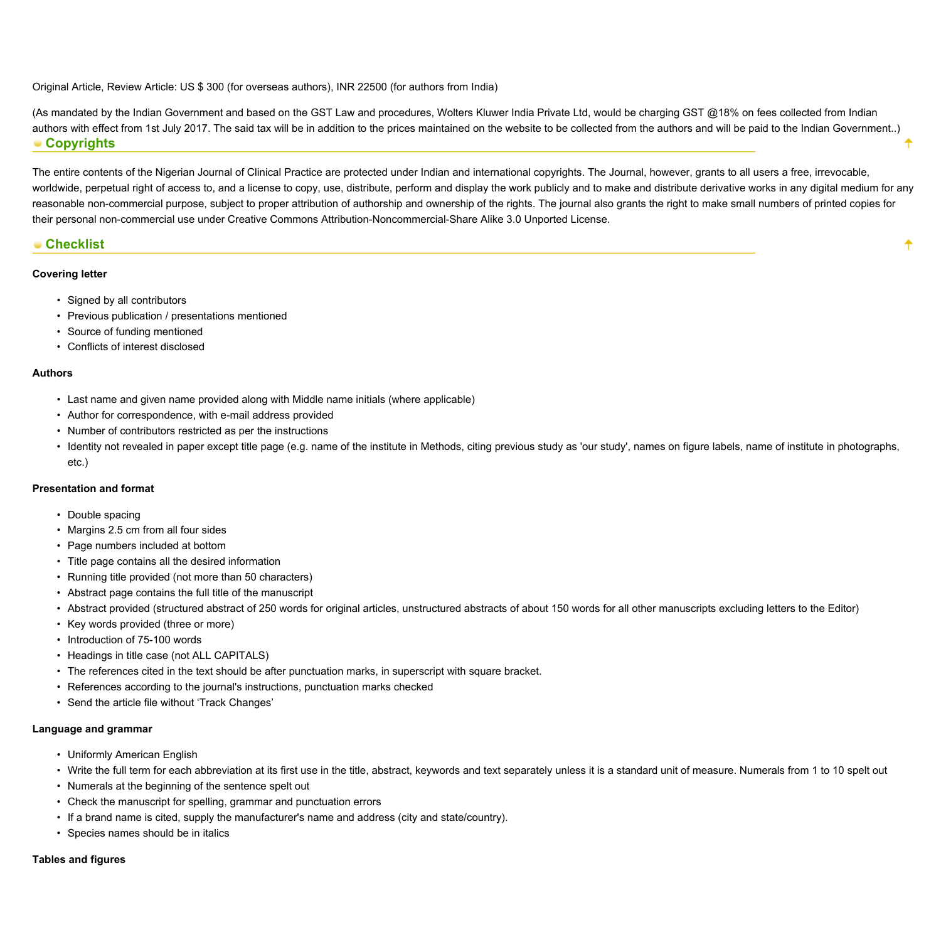**Original Article, Review Article: US \$ 300 (for overseas authors), INR 22500 (for authors from India)**

<span id="page-7-0"></span>(As mandated by the Indian Government and based on the GST Law and procedures, Wolters Kluwer India Private Ltd, would be charging GST @18% on fees collected from Indian authors with effect from 1st July 2017. The said tax will be in addition to the prices maintained on the website to be collected from the authors and will be paid to the Indian Government..) **Copyrights** ↑

The entire contents of the Nigerian Journal of Clinical Practice are protected under Indian and international copyrights. The Journal, however, grants to all users a free, irrevocable, worldwide, perpetual right of access to, and a license to copy, use, distribute, perform and display the work publicly and to make and distribute derivative works in any digital medium for any reasonable non-commercial purpose, subject to proper attribution of authorship and ownership of the rights. The journal also grants the right to make small numbers of printed copies for **their personal non-commercial use under Creative Commons Attribution-Noncommercial-Share Alike 3.0 Unported License.**

 $\ddotmark$ 

## <span id="page-7-1"></span>**Checklist**

#### **Covering letter**

- **• Signed by all contributors**
- **• Previous publication / presentations mentioned**
- **• Source of funding mentioned**
- **• Conflicts of interest disclosed**

#### **Authors**

- **• Last name and given name provided along with Middle name initials (where applicable)**
- **• Author for correspondence, with e-mail address provided**
- **• Number of contributors restricted as per the instructions**
- · Identity not revealed in paper except title page (e.g. name of the institute in Methods, citing previous study as 'our study', names on figure labels, name of institute in photographs, **etc.)**

### **Presentation and format**

- **• Double spacing**
- **• Margins 2.5 cm from all four sides**
- **• Page numbers included at bottom**
- **• Title page contains all the desired information**
- **• Running title provided (not more than 50 characters)**
- **• Abstract page contains the full title of the manuscript**
- Abstract provided (structured abstract of 250 words for original articles, unstructured abstracts of about 150 words for all other manuscripts excluding letters to the Editor)
- **• Key words provided (three or more)**
- **• Introduction of 75-100 words**
- **• Headings in title case (not ALL CAPITALS)**
- **• The references cited in the text should be after punctuation marks, in superscript with square bracket.**
- **• References according to the journal's instructions, punctuation marks checked**
- **• Send the article file without 'Track Changes'**

#### **Language and grammar**

- **• Uniformly American English**
- Write the full term for each abbreviation at its first use in the title, abstract, keywords and text separately unless it is a standard unit of measure. Numerals from 1 to 10 spelt out
- **• Numerals at the beginning of the sentence spelt out**
- **• Check the manuscript for spelling, grammar and punctuation errors**
- **• If a brand name is cited, supply the manufacturer's name and address (city and state/country).**
- **• Species names should be in italics**

#### **Tables and figures**